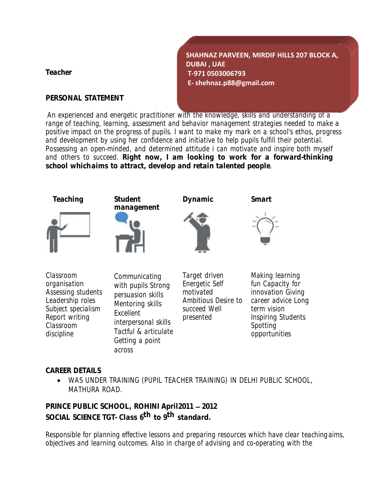**Teacher**

**PERSONAL STATEMENT**

**SHAHNAZ PARVEEN, MIRDIF HILLS 207 BLOCK A, DUBAI , UAE T-971 0503006793 E- [shehnaz.p88@gmail.com](mailto:shehnaz.p88@gmail.com)**

An experienced and energetic practitioner with the knowledge, skills and understanding of a range of teaching, learning, assessment and behavior management strategies needed to make a positive impact on the progress of pupils. I want to make my mark on a school's ethos, progress and development by using her confidence and initiative to help pupils fulfill their potential. Possessing an open-minded, and determined attitude i can motivate and inspire both myself and others to succeed. **Right now, I am looking to work for a forward-thinking school whichaims to attract, develop and retain talented people**.



**CAREER DETAILS**

• WAS UNDER TRAINING (PUPIL TEACHER TRAINING) IN DELHI PUBLIC SCHOOL, MATHURA ROAD.

**PRINCE PUBLIC SCHOOL, ROHINI April2011 2012 SOCIAL SCIENCE TGT- Class 6 th to 9 th standard.**

Responsible for planning effective lessons and preparing resources which have clear teachingaims, objectives and learning outcomes. Also in charge of advising and co-operating with the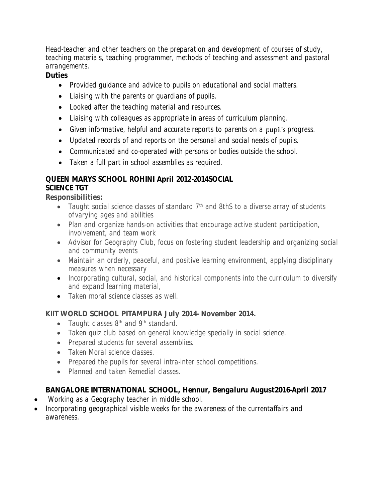Head-teacher and other teachers on the preparation and development of courses of study, teaching materials, teaching programmer, methods of teaching and assessment and pastoral arrangements.

**Duties**

- Provided guidance and advice to pupils on educational and social matters.
- Liaising with the parents or guardians of pupils.
- Looked after the teaching material and resources.
- Liaising with colleagues as appropriate in areas of curriculum planning.
- Given informative, helpful and accurate reports to parents on a pupil's progress.
- Updated records of and reports on the personal and social needs of pupils.
- Communicated and co-operated with persons or bodies outside the school.
- Taken a full part in school assemblies as required.

## **QUEEN MARYS SCHOOL ROHINI April 2012-2014SOCIAL**

# **SCIENCE TGT**

**Responsibilities:**

- Taught social science classes of standard 7<sup>th</sup> and 8thS to a diverse array of students of varying ages and abilities
- Plan and organize hands-on activities that encourage active student participation, involvement, and team work
- Advisor for Geography Club, focus on fostering student leadership and organizing social and community events
- Maintain an orderly, peaceful, and positive learning environment, applying disciplinary measures when necessary
- Incorporating cultural, social, and historical components into the curriculum to diversify and expand learning material,
- Taken moral science classes as well.

## **KIIT WORLD SCHOOL PITAMPURA July 2014- November 2014.**

- Taught classes 8<sup>th</sup> and 9<sup>th</sup> standard.
- Taken quiz club based on general knowledge specially in social science.
- Prepared students for several assemblies.
- Taken Moral science classes.
- Prepared the pupils for several intra-inter school competitions.
- Planned and taken Remedial classes.

## **BANGALORE INTERNATIONAL SCHOOL, Hennur, Bengaluru August2016-April 2017**

- Working as a Geography teacher in middle school.
- Incorporating geographical visible weeks for the awareness of the currentaffairs and awareness.